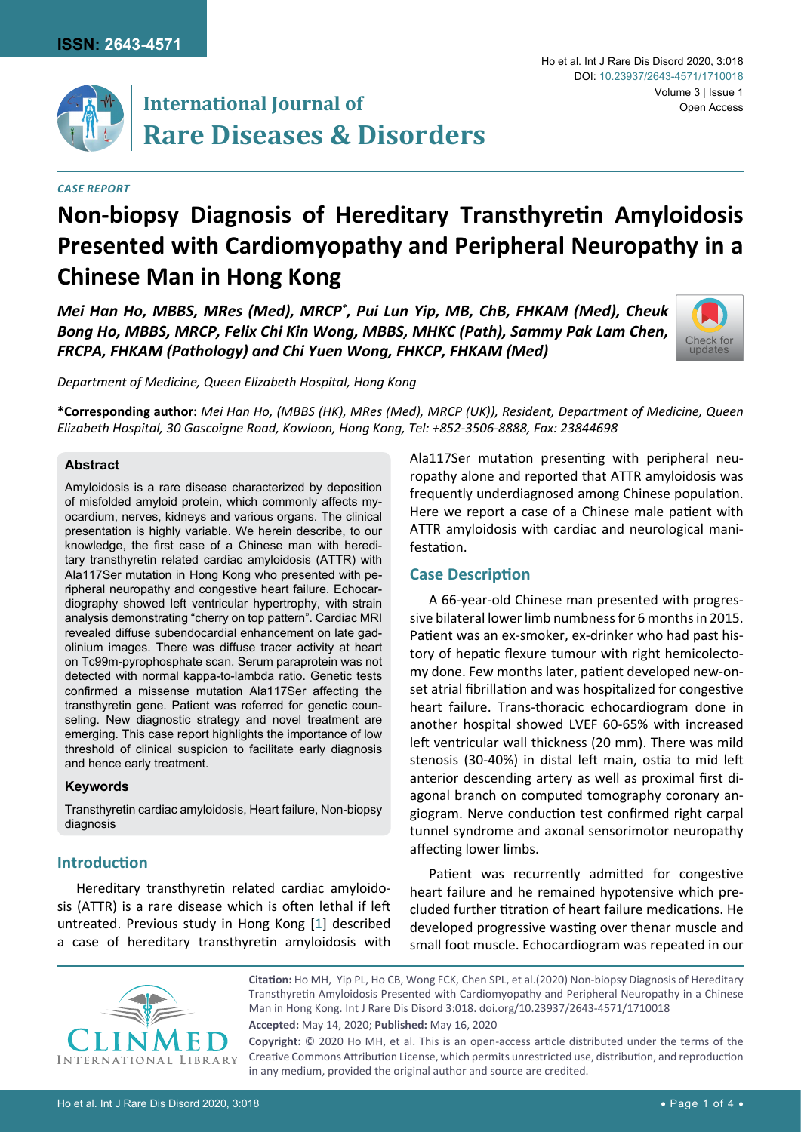

# **International Journal of Rare Diseases & Disorders**

*Case Report*

#### Ho et al. Int J Rare Dis Disord 2020, 3:018 Volume 3 | Issue 1 DOI: [10.23937/2643-4571/1710018](https://doi.org/10.23937/2643-4571/1710018) Open Access

# **Non-biopsy Diagnosis of Hereditary Transthyretin Amyloidosis Presented with Cardiomyopathy and Peripheral Neuropathy in a Chinese Man in Hong Kong**

*Mei Han Ho, MBBS, MRes (Med), MRCP\* , Pui Lun Yip, MB, ChB, FHKAM (Med), Cheuk Bong Ho, MBBS, MRCP, Felix Chi Kin Wong, MBBS, MHKC (Path), Sammy Pak Lam Chen, FRCPA, FHKAM (Pathology) and Chi Yuen Wong, FHKCP, FHKAM (Med)* 



*Department of Medicine, Queen Elizabeth Hospital, Hong Kong*

**\*Corresponding author:** *Mei Han Ho, (MBBS (HK), MRes (Med), MRCP (UK)), Resident, Department of Medicine, Queen Elizabeth Hospital, 30 Gascoigne Road, Kowloon, Hong Kong, Tel: +852-3506-8888, Fax: 23844698*

## **Abstract**

Amyloidosis is a rare disease characterized by deposition of misfolded amyloid protein, which commonly affects myocardium, nerves, kidneys and various organs. The clinical presentation is highly variable. We herein describe, to our knowledge, the first case of a Chinese man with hereditary transthyretin related cardiac amyloidosis (ATTR) with Ala117Ser mutation in Hong Kong who presented with peripheral neuropathy and congestive heart failure. Echocardiography showed left ventricular hypertrophy, with strain analysis demonstrating "cherry on top pattern". Cardiac MRI revealed diffuse subendocardial enhancement on late gadolinium images. There was diffuse tracer activity at heart on Tc99m-pyrophosphate scan. Serum paraprotein was not detected with normal kappa-to-lambda ratio. Genetic tests confirmed a missense mutation Ala117Ser affecting the transthyretin gene. Patient was referred for genetic counseling. New diagnostic strategy and novel treatment are emerging. This case report highlights the importance of low threshold of clinical suspicion to facilitate early diagnosis and hence early treatment.

## **Keywords**

Transthyretin cardiac amyloidosis, Heart failure, Non-biopsy diagnosis

## **Introduction**

Hereditary transthyretin related cardiac amyloidosis (ATTR) is a rare disease which is often lethal if left untreated. Previous study in Hong Kong [[1\]](#page-3-0) described a case of hereditary transthyretin amyloidosis with Ala117Ser mutation presenting with peripheral neuropathy alone and reported that ATTR amyloidosis was frequently underdiagnosed among Chinese population. Here we report a case of a Chinese male patient with ATTR amyloidosis with cardiac and neurological manifestation.

## **Case Description**

A 66-year-old Chinese man presented with progressive bilateral lower limb numbness for 6 months in 2015. Patient was an ex-smoker, ex-drinker who had past history of hepatic flexure tumour with right hemicolectomy done. Few months later, patient developed new-onset atrial fibrillation and was hospitalized for congestive heart failure. Trans-thoracic echocardiogram done in another hospital showed LVEF 60-65% with increased left ventricular wall thickness (20 mm). There was mild stenosis (30-40%) in distal left main, ostia to mid left anterior descending artery as well as proximal first diagonal branch on computed tomography coronary angiogram. Nerve conduction test confirmed right carpal tunnel syndrome and axonal sensorimotor neuropathy affecting lower limbs.

Patient was recurrently admitted for congestive heart failure and he remained hypotensive which precluded further titration of heart failure medications. He developed progressive wasting over thenar muscle and small foot muscle. Echocardiogram was repeated in our



**Citation:** Ho MH, Yip PL, Ho CB, Wong FCK, Chen SPL, et al.(2020) Non-biopsy Diagnosis of Hereditary Transthyretin Amyloidosis Presented with Cardiomyopathy and Peripheral Neuropathy in a Chinese Man in Hong Kong. Int J Rare Dis Disord 3:018. [doi.org/10.23937/2643-4571/1710018](https://doi.org/10.23937/2643-4571/1710018)

**Accepted:** May 14, 2020; **Published:** May 16, 2020

**Copyright:** © 2020 Ho MH, et al. This is an open-access article distributed under the terms of the Creative Commons Attribution License, which permits unrestricted use, distribution, and reproduction in any medium, provided the original author and source are credited.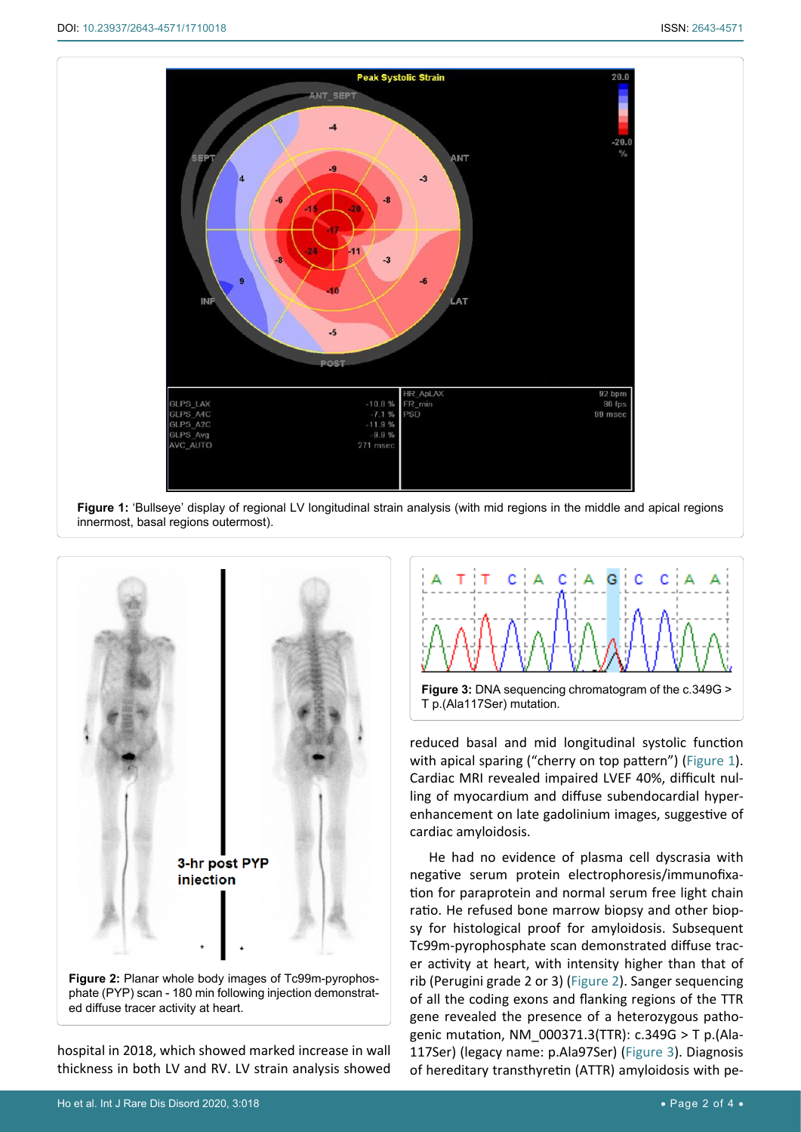<span id="page-1-0"></span>

**Figure 1:** 'Bullseye' display of regional LV longitudinal strain analysis (with mid regions in the middle and apical regions innermost, basal regions outermost).

<span id="page-1-1"></span>

ed diffuse tracer activity at heart.

hospital in 2018, which showed marked increase in wall thickness in both LV and RV. LV strain analysis showed

<span id="page-1-2"></span>

reduced basal and mid longitudinal systolic function with apical sparing ("cherry on top pattern") [\(Figure 1](#page-1-0)). Cardiac MRI revealed impaired LVEF 40%, difficult nulling of myocardium and diffuse subendocardial hyperenhancement on late gadolinium images, suggestive of cardiac amyloidosis.

He had no evidence of plasma cell dyscrasia with negative serum protein electrophoresis/immunofixation for paraprotein and normal serum free light chain ratio. He refused bone marrow biopsy and other biopsy for histological proof for amyloidosis. Subsequent Tc99m-pyrophosphate scan demonstrated diffuse tracer activity at heart, with intensity higher than that of rib (Perugini grade 2 or 3) ([Figure 2](#page-1-1)). Sanger sequencing of all the coding exons and flanking regions of the TTR gene revealed the presence of a heterozygous pathogenic mutation, NM\_000371.3(TTR): c.349G > T p.(Ala-117Ser) (legacy name: p.Ala97Ser) [\(Figure 3](#page-1-2)). Diagnosis of hereditary transthyretin (ATTR) amyloidosis with pe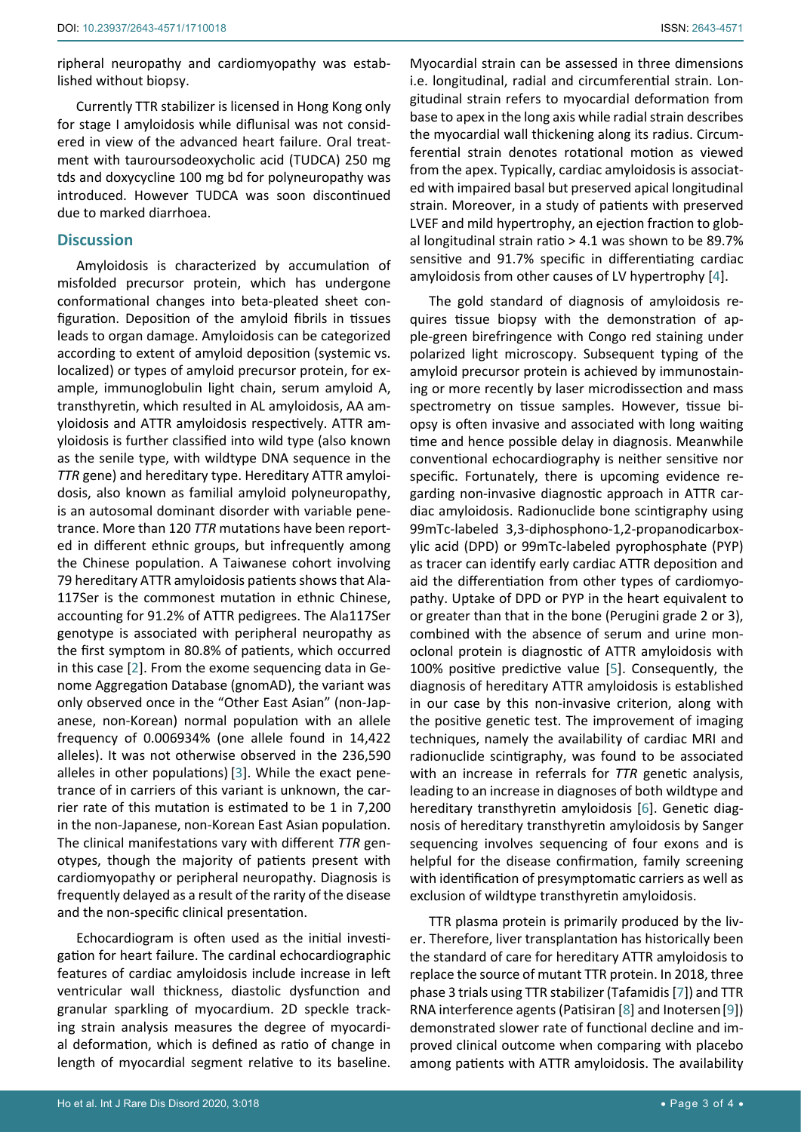ripheral neuropathy and cardiomyopathy was established without biopsy.

Currently TTR stabilizer is licensed in Hong Kong only for stage I amyloidosis while diflunisal was not considered in view of the advanced heart failure. Oral treatment with tauroursodeoxycholic acid (TUDCA) 250 mg tds and doxycycline 100 mg bd for polyneuropathy was introduced. However TUDCA was soon discontinued due to marked diarrhoea.

### **Discussion**

Amyloidosis is characterized by accumulation of misfolded precursor protein, which has undergone conformational changes into beta-pleated sheet configuration. Deposition of the amyloid fibrils in tissues leads to organ damage. Amyloidosis can be categorized according to extent of amyloid deposition (systemic vs. localized) or types of amyloid precursor protein, for example, immunoglobulin light chain, serum amyloid A, transthyretin, which resulted in AL amyloidosis, AA amyloidosis and ATTR amyloidosis respectively. ATTR amyloidosis is further classified into wild type (also known as the senile type, with wildtype DNA sequence in the *TTR* gene) and hereditary type. Hereditary ATTR amyloidosis, also known as familial amyloid polyneuropathy, is an autosomal dominant disorder with variable penetrance. More than 120 *TTR* mutations have been reported in different ethnic groups, but infrequently among the Chinese population. A Taiwanese cohort involving 79 hereditary ATTR amyloidosis patients shows that Ala-117Ser is the commonest mutation in ethnic Chinese, accounting for 91.2% of ATTR pedigrees. The Ala117Ser genotype is associated with peripheral neuropathy as the first symptom in 80.8% of patients, which occurred in this case [[2](#page-3-7)]. From the exome sequencing data in Genome Aggregation Database (gnomAD), the variant was only observed once in the "Other East Asian" (non-Japanese, non-Korean) normal population with an allele frequency of 0.006934% (one allele found in 14,422 alleles). It was not otherwise observed in the 236,590 alleles in other populations) [[3](#page-3-8)]. While the exact penetrance of in carriers of this variant is unknown, the carrier rate of this mutation is estimated to be 1 in 7,200 in the non-Japanese, non-Korean East Asian population. The clinical manifestations vary with different *TTR* genotypes, though the majority of patients present with cardiomyopathy or peripheral neuropathy. Diagnosis is frequently delayed as a result of the rarity of the disease and the non-specific clinical presentation.

Echocardiogram is often used as the initial investigation for heart failure. The cardinal echocardiographic features of cardiac amyloidosis include increase in left ventricular wall thickness, diastolic dysfunction and granular sparkling of myocardium. 2D speckle tracking strain analysis measures the degree of myocardial deformation, which is defined as ratio of change in length of myocardial segment relative to its baseline.

Myocardial strain can be assessed in three dimensions i.e. longitudinal, radial and circumferential strain. Longitudinal strain refers to myocardial deformation from base to apex in the long axis while radial strain describes the myocardial wall thickening along its radius. Circumferential strain denotes rotational motion as viewed from the apex. Typically, cardiac amyloidosis is associated with impaired basal but preserved apical longitudinal strain. Moreover, in a study of patients with preserved LVEF and mild hypertrophy, an ejection fraction to global longitudinal strain ratio > 4.1 was shown to be 89.7% sensitive and 91.7% specific in differentiating cardiac amyloidosis from other causes of LV hypertrophy [[4\]](#page-3-1).

The gold standard of diagnosis of amyloidosis requires tissue biopsy with the demonstration of apple-green birefringence with Congo red staining under polarized light microscopy. Subsequent typing of the amyloid precursor protein is achieved by immunostaining or more recently by laser microdissection and mass spectrometry on tissue samples. However, tissue biopsy is often invasive and associated with long waiting time and hence possible delay in diagnosis. Meanwhile conventional echocardiography is neither sensitive nor specific. Fortunately, there is upcoming evidence regarding non-invasive diagnostic approach in ATTR cardiac amyloidosis. Radionuclide bone scintigraphy using 99mTc-labeled 3,3-diphosphono-1,2-propanodicarboxylic acid (DPD) or 99mTc-labeled pyrophosphate (PYP) as tracer can identify early cardiac ATTR deposition and aid the differentiation from other types of cardiomyopathy. Uptake of DPD or PYP in the heart equivalent to or greater than that in the bone (Perugini grade 2 or 3), combined with the absence of serum and urine monoclonal protein is diagnostic of ATTR amyloidosis with 100% positive predictive value [[5](#page-3-2)]. Consequently, the diagnosis of hereditary ATTR amyloidosis is established in our case by this non-invasive criterion, along with the positive genetic test. The improvement of imaging techniques, namely the availability of cardiac MRI and radionuclide scintigraphy, was found to be associated with an increase in referrals for *TTR* genetic analysis, leading to an increase in diagnoses of both wildtype and hereditary transthyretin amyloidosis [[6](#page-3-3)]. Genetic diagnosis of hereditary transthyretin amyloidosis by Sanger sequencing involves sequencing of four exons and is helpful for the disease confirmation, family screening with identification of presymptomatic carriers as well as exclusion of wildtype transthyretin amyloidosis.

TTR plasma protein is primarily produced by the liver. Therefore, liver transplantation has historically been the standard of care for hereditary ATTR amyloidosis to replace the source of mutant TTR protein. In 2018, three phase 3 trials using TTR stabilizer (Tafamidis [[7\]](#page-3-4)) and TTR RNA interference agents (Patisiran [[8\]](#page-3-5) and Inotersen[[9](#page-3-6)]) demonstrated slower rate of functional decline and improved clinical outcome when comparing with placebo among patients with ATTR amyloidosis. The availability